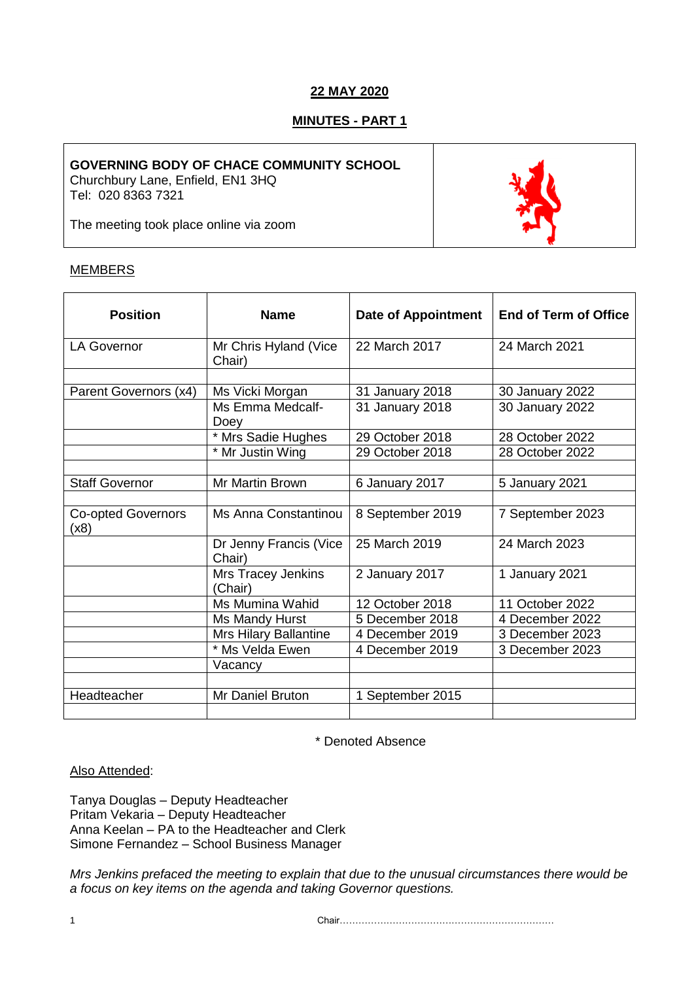# **22 MAY 2020**

# **MINUTES - PART 1**

## **GOVERNING BODY OF CHACE COMMUNITY SCHOOL**

Churchbury Lane, Enfield, EN1 3HQ Tel: 020 8363 7321

The meeting took place online via zoom



# MEMBERS

| <b>Position</b>                   | <b>Name</b>                      | <b>Date of Appointment</b> | <b>End of Term of Office</b> |
|-----------------------------------|----------------------------------|----------------------------|------------------------------|
| <b>LA Governor</b>                | Mr Chris Hyland (Vice<br>Chair)  | 22 March 2017              | 24 March 2021                |
|                                   |                                  |                            |                              |
| Parent Governors (x4)             | Ms Vicki Morgan                  | 31 January 2018            | 30 January 2022              |
|                                   | Ms Emma Medcalf-<br>Doey         | 31 January 2018            | 30 January 2022              |
|                                   | * Mrs Sadie Hughes               | 29 October 2018            | 28 October 2022              |
|                                   | * Mr Justin Wing                 | 29 October 2018            | 28 October 2022              |
|                                   |                                  |                            |                              |
| <b>Staff Governor</b>             | Mr Martin Brown                  | 6 January 2017             | 5 January 2021               |
|                                   |                                  |                            |                              |
| <b>Co-opted Governors</b><br>(x8) | Ms Anna Constantinou             | 8 September 2019           | 7 September 2023             |
|                                   | Dr Jenny Francis (Vice<br>Chair) | 25 March 2019              | 24 March 2023                |
|                                   | Mrs Tracey Jenkins<br>(Chair)    | 2 January 2017             | 1 January 2021               |
|                                   | Ms Mumina Wahid                  | 12 October 2018            | 11 October 2022              |
|                                   | Ms Mandy Hurst                   | 5 December 2018            | 4 December 2022              |
|                                   | Mrs Hilary Ballantine            | 4 December 2019            | 3 December 2023              |
|                                   | * Ms Velda Ewen                  | 4 December 2019            | 3 December 2023              |
|                                   | Vacancy                          |                            |                              |
|                                   |                                  |                            |                              |
| Headteacher                       | Mr Daniel Bruton                 | 1 September 2015           |                              |
|                                   |                                  |                            |                              |

\* Denoted Absence

## Also Attended:

Tanya Douglas – Deputy Headteacher Pritam Vekaria – Deputy Headteacher Anna Keelan – PA to the Headteacher and Clerk Simone Fernandez – School Business Manager

*Mrs Jenkins prefaced the meeting to explain that due to the unusual circumstances there would be a focus on key items on the agenda and taking Governor questions.*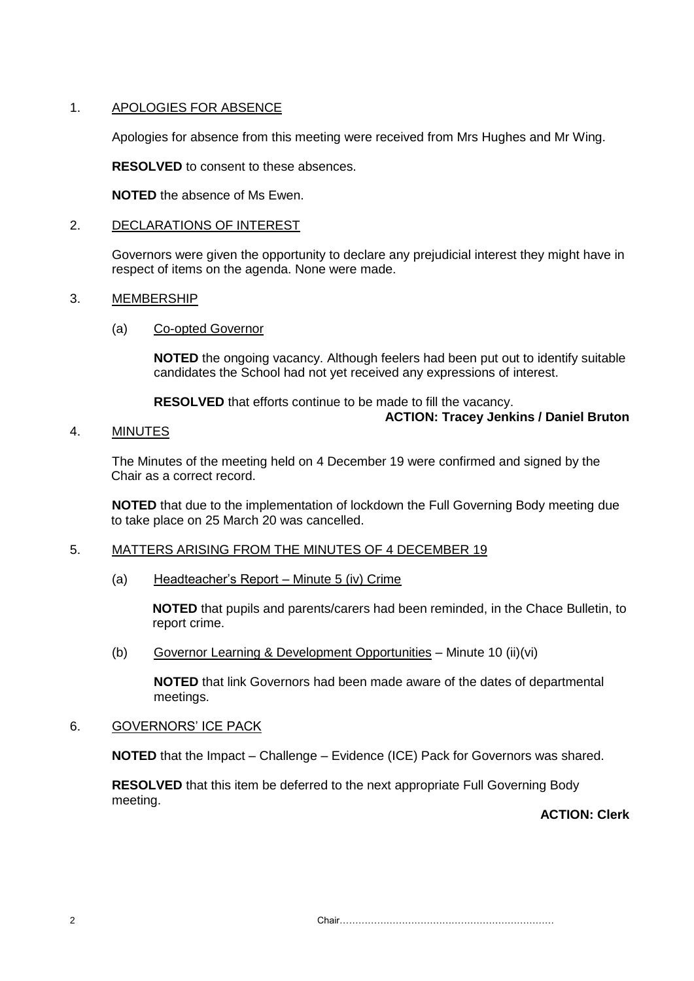# 1. APOLOGIES FOR ABSENCE

Apologies for absence from this meeting were received from Mrs Hughes and Mr Wing.

**RESOLVED** to consent to these absences.

**NOTED** the absence of Ms Ewen.

## 2. DECLARATIONS OF INTEREST

Governors were given the opportunity to declare any prejudicial interest they might have in respect of items on the agenda. None were made.

## 3. MEMBERSHIP

### (a) Co-opted Governor

**NOTED** the ongoing vacancy. Although feelers had been put out to identify suitable candidates the School had not yet received any expressions of interest.

**RESOLVED** that efforts continue to be made to fill the vacancy.

# **ACTION: Tracey Jenkins / Daniel Bruton**

### 4. MINUTES

The Minutes of the meeting held on 4 December 19 were confirmed and signed by the Chair as a correct record.

**NOTED** that due to the implementation of lockdown the Full Governing Body meeting due to take place on 25 March 20 was cancelled.

## 5. MATTERS ARISING FROM THE MINUTES OF 4 DECEMBER 19

(a) Headteacher's Report – Minute 5 (iv) Crime

**NOTED** that pupils and parents/carers had been reminded, in the Chace Bulletin, to report crime.

(b) Governor Learning & Development Opportunities – Minute 10 (ii)(vi)

**NOTED** that link Governors had been made aware of the dates of departmental meetings.

## 6. GOVERNORS' ICE PACK

**NOTED** that the Impact – Challenge – Evidence (ICE) Pack for Governors was shared.

**RESOLVED** that this item be deferred to the next appropriate Full Governing Body meeting.

**ACTION: Clerk**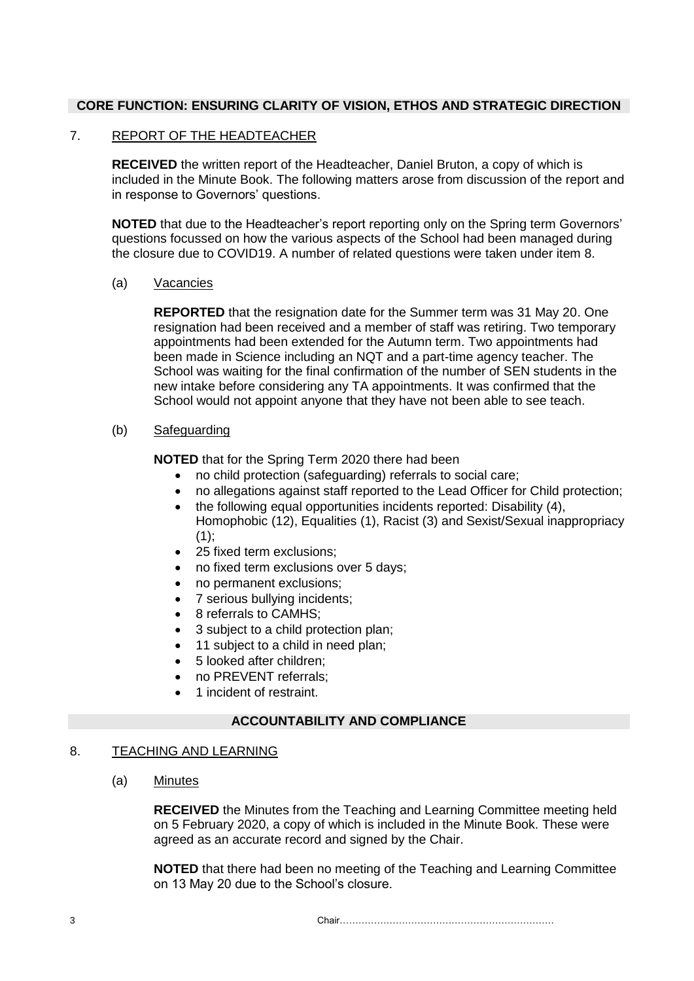## **CORE FUNCTION: ENSURING CLARITY OF VISION, ETHOS AND STRATEGIC DIRECTION**

### 7. REPORT OF THE HEADTEACHER

**RECEIVED** the written report of the Headteacher, Daniel Bruton, a copy of which is included in the Minute Book. The following matters arose from discussion of the report and in response to Governors' questions.

**NOTED** that due to the Headteacher's report reporting only on the Spring term Governors' questions focussed on how the various aspects of the School had been managed during the closure due to COVID19. A number of related questions were taken under item 8.

#### (a) Vacancies

**REPORTED** that the resignation date for the Summer term was 31 May 20. One resignation had been received and a member of staff was retiring. Two temporary appointments had been extended for the Autumn term. Two appointments had been made in Science including an NQT and a part-time agency teacher. The School was waiting for the final confirmation of the number of SEN students in the new intake before considering any TA appointments. It was confirmed that the School would not appoint anyone that they have not been able to see teach.

## (b) Safeguarding

**NOTED** that for the Spring Term 2020 there had been

- no child protection (safeguarding) referrals to social care;
- no allegations against staff reported to the Lead Officer for Child protection;
- the following equal opportunities incidents reported: Disability (4), Homophobic (12), Equalities (1), Racist (3) and Sexist/Sexual inappropriacy  $(1)$ ;
- 25 fixed term exclusions;
- no fixed term exclusions over 5 days;
- no permanent exclusions:
- 7 serious bullying incidents:
- 8 referrals to CAMHS;
- 3 subject to a child protection plan;
- 11 subject to a child in need plan:
- 5 looked after children:
- no PREVENT referrals;
- 1 incident of restraint.

# **ACCOUNTABILITY AND COMPLIANCE**

#### 8. TEACHING AND LEARNING

(a) Minutes

**RECEIVED** the Minutes from the Teaching and Learning Committee meeting held on 5 February 2020, a copy of which is included in the Minute Book. These were agreed as an accurate record and signed by the Chair.

**NOTED** that there had been no meeting of the Teaching and Learning Committee on 13 May 20 due to the School's closure.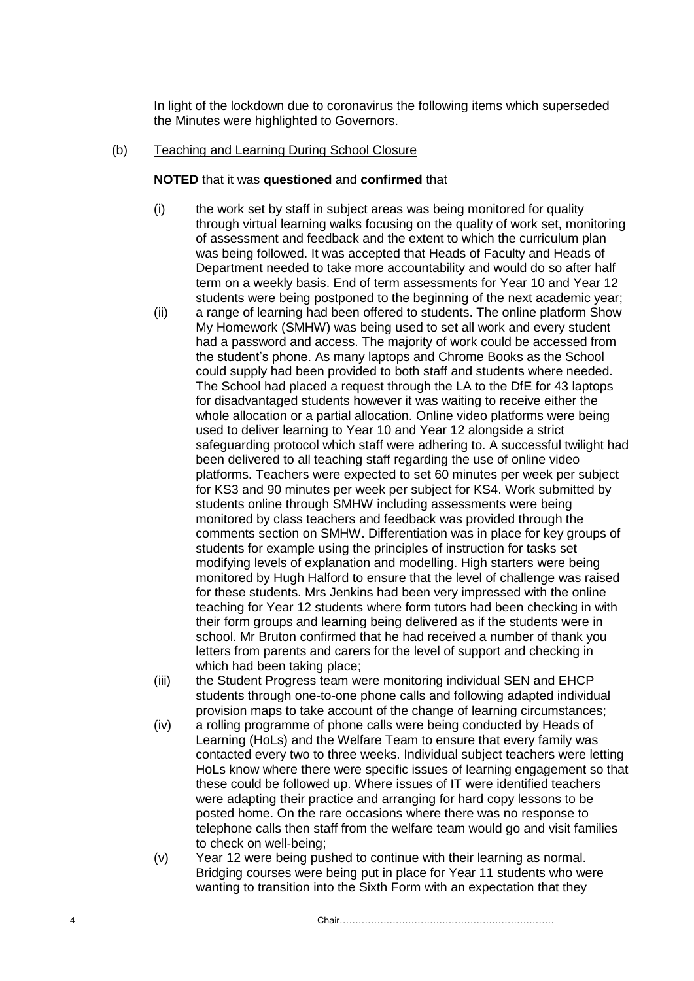In light of the lockdown due to coronavirus the following items which superseded the Minutes were highlighted to Governors.

#### (b) Teaching and Learning During School Closure

#### **NOTED** that it was **questioned** and **confirmed** that

- (i) the work set by staff in subject areas was being monitored for quality through virtual learning walks focusing on the quality of work set, monitoring of assessment and feedback and the extent to which the curriculum plan was being followed. It was accepted that Heads of Faculty and Heads of Department needed to take more accountability and would do so after half term on a weekly basis. End of term assessments for Year 10 and Year 12 students were being postponed to the beginning of the next academic year;
- (ii) a range of learning had been offered to students. The online platform Show My Homework (SMHW) was being used to set all work and every student had a password and access. The majority of work could be accessed from the student's phone. As many laptops and Chrome Books as the School could supply had been provided to both staff and students where needed. The School had placed a request through the LA to the DfE for 43 laptops for disadvantaged students however it was waiting to receive either the whole allocation or a partial allocation. Online video platforms were being used to deliver learning to Year 10 and Year 12 alongside a strict safeguarding protocol which staff were adhering to. A successful twilight had been delivered to all teaching staff regarding the use of online video platforms. Teachers were expected to set 60 minutes per week per subject for KS3 and 90 minutes per week per subject for KS4. Work submitted by students online through SMHW including assessments were being monitored by class teachers and feedback was provided through the comments section on SMHW. Differentiation was in place for key groups of students for example using the principles of instruction for tasks set modifying levels of explanation and modelling. High starters were being monitored by Hugh Halford to ensure that the level of challenge was raised for these students. Mrs Jenkins had been very impressed with the online teaching for Year 12 students where form tutors had been checking in with their form groups and learning being delivered as if the students were in school. Mr Bruton confirmed that he had received a number of thank you letters from parents and carers for the level of support and checking in which had been taking place;
- (iii) the Student Progress team were monitoring individual SEN and EHCP students through one-to-one phone calls and following adapted individual provision maps to take account of the change of learning circumstances;
- (iv) a rolling programme of phone calls were being conducted by Heads of Learning (HoLs) and the Welfare Team to ensure that every family was contacted every two to three weeks. Individual subject teachers were letting HoLs know where there were specific issues of learning engagement so that these could be followed up. Where issues of IT were identified teachers were adapting their practice and arranging for hard copy lessons to be posted home. On the rare occasions where there was no response to telephone calls then staff from the welfare team would go and visit families to check on well-being;
- (v) Year 12 were being pushed to continue with their learning as normal. Bridging courses were being put in place for Year 11 students who were wanting to transition into the Sixth Form with an expectation that they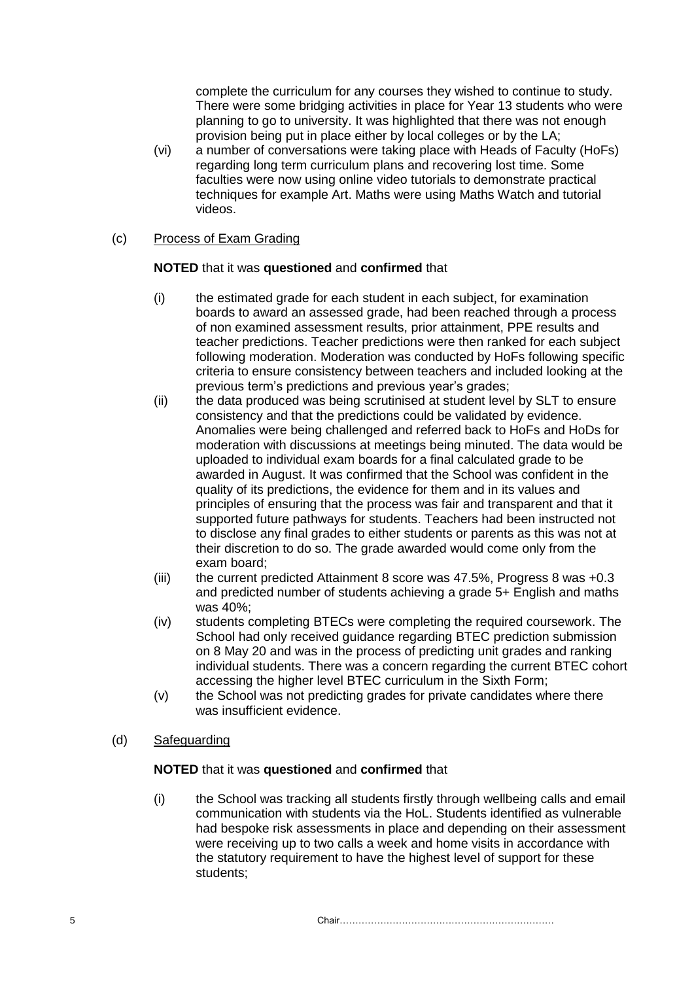complete the curriculum for any courses they wished to continue to study. There were some bridging activities in place for Year 13 students who were planning to go to university. It was highlighted that there was not enough provision being put in place either by local colleges or by the LA;

(vi) a number of conversations were taking place with Heads of Faculty (HoFs) regarding long term curriculum plans and recovering lost time. Some faculties were now using online video tutorials to demonstrate practical techniques for example Art. Maths were using Maths Watch and tutorial videos.

# (c) Process of Exam Grading

# **NOTED** that it was **questioned** and **confirmed** that

- (i) the estimated grade for each student in each subject, for examination boards to award an assessed grade, had been reached through a process of non examined assessment results, prior attainment, PPE results and teacher predictions. Teacher predictions were then ranked for each subject following moderation. Moderation was conducted by HoFs following specific criteria to ensure consistency between teachers and included looking at the previous term's predictions and previous year's grades;
- (ii) the data produced was being scrutinised at student level by SLT to ensure consistency and that the predictions could be validated by evidence. Anomalies were being challenged and referred back to HoFs and HoDs for moderation with discussions at meetings being minuted. The data would be uploaded to individual exam boards for a final calculated grade to be awarded in August. It was confirmed that the School was confident in the quality of its predictions, the evidence for them and in its values and principles of ensuring that the process was fair and transparent and that it supported future pathways for students. Teachers had been instructed not to disclose any final grades to either students or parents as this was not at their discretion to do so. The grade awarded would come only from the exam board;
- (iii) the current predicted Attainment 8 score was 47.5%, Progress 8 was +0.3 and predicted number of students achieving a grade 5+ English and maths was 40%;
- (iv) students completing BTECs were completing the required coursework. The School had only received guidance regarding BTEC prediction submission on 8 May 20 and was in the process of predicting unit grades and ranking individual students. There was a concern regarding the current BTEC cohort accessing the higher level BTEC curriculum in the Sixth Form;
- (v) the School was not predicting grades for private candidates where there was insufficient evidence.
- (d) Safeguarding

## **NOTED** that it was **questioned** and **confirmed** that

(i) the School was tracking all students firstly through wellbeing calls and email communication with students via the HoL. Students identified as vulnerable had bespoke risk assessments in place and depending on their assessment were receiving up to two calls a week and home visits in accordance with the statutory requirement to have the highest level of support for these students;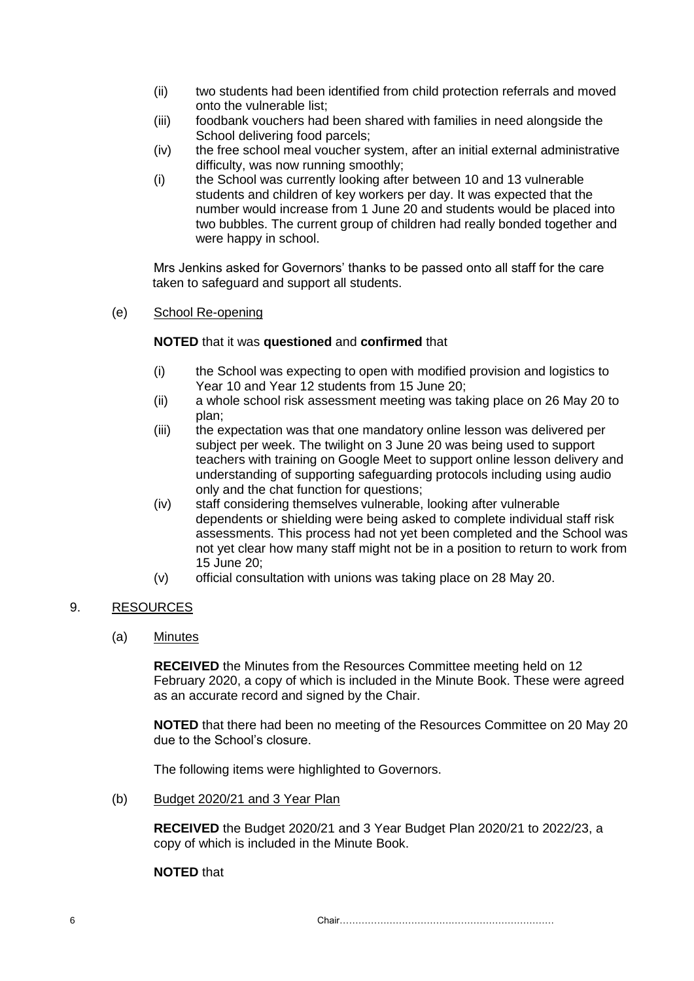- (ii) two students had been identified from child protection referrals and moved onto the vulnerable list;
- (iii) foodbank vouchers had been shared with families in need alongside the School delivering food parcels;
- (iv) the free school meal voucher system, after an initial external administrative difficulty, was now running smoothly;
- (i) the School was currently looking after between 10 and 13 vulnerable students and children of key workers per day. It was expected that the number would increase from 1 June 20 and students would be placed into two bubbles. The current group of children had really bonded together and were happy in school.

Mrs Jenkins asked for Governors' thanks to be passed onto all staff for the care taken to safeguard and support all students.

(e) School Re-opening

## **NOTED** that it was **questioned** and **confirmed** that

- (i) the School was expecting to open with modified provision and logistics to Year 10 and Year 12 students from 15 June 20;
- (ii) a whole school risk assessment meeting was taking place on 26 May 20 to plan;
- (iii) the expectation was that one mandatory online lesson was delivered per subject per week. The twilight on 3 June 20 was being used to support teachers with training on Google Meet to support online lesson delivery and understanding of supporting safeguarding protocols including using audio only and the chat function for questions;
- (iv) staff considering themselves vulnerable, looking after vulnerable dependents or shielding were being asked to complete individual staff risk assessments. This process had not yet been completed and the School was not yet clear how many staff might not be in a position to return to work from 15 June 20;
- (v) official consultation with unions was taking place on 28 May 20.

## 9. RESOURCES

(a) Minutes

**RECEIVED** the Minutes from the Resources Committee meeting held on 12 February 2020, a copy of which is included in the Minute Book. These were agreed as an accurate record and signed by the Chair.

**NOTED** that there had been no meeting of the Resources Committee on 20 May 20 due to the School's closure.

The following items were highlighted to Governors.

(b) Budget 2020/21 and 3 Year Plan

**RECEIVED** the Budget 2020/21 and 3 Year Budget Plan 2020/21 to 2022/23, a copy of which is included in the Minute Book.

#### **NOTED** that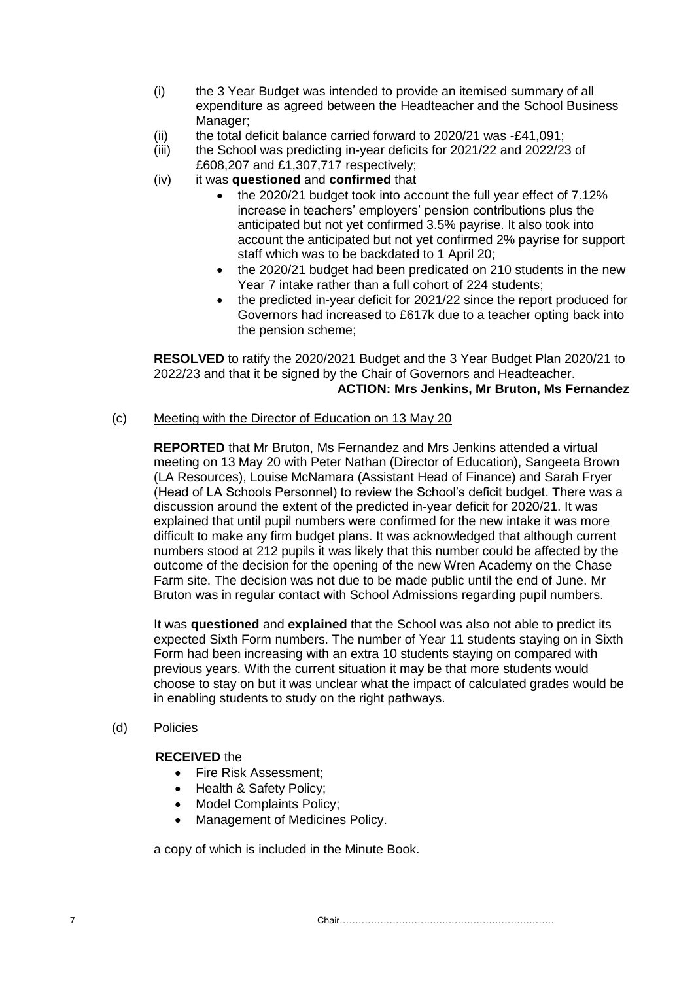- (i) the 3 Year Budget was intended to provide an itemised summary of all expenditure as agreed between the Headteacher and the School Business Manager;
- (ii) the total deficit balance carried forward to  $2020/21$  was  $-£41,091$ ;
- (iii) the School was predicting in-year deficits for 2021/22 and 2022/23 of £608,207 and £1,307,717 respectively;
- (iv) it was **questioned** and **confirmed** that
	- the 2020/21 budget took into account the full year effect of 7.12% increase in teachers' employers' pension contributions plus the anticipated but not yet confirmed 3.5% payrise. It also took into account the anticipated but not yet confirmed 2% payrise for support staff which was to be backdated to 1 April 20;
	- the 2020/21 budget had been predicated on 210 students in the new Year 7 intake rather than a full cohort of 224 students;
	- the predicted in-year deficit for 2021/22 since the report produced for Governors had increased to £617k due to a teacher opting back into the pension scheme;

**RESOLVED** to ratify the 2020/2021 Budget and the 3 Year Budget Plan 2020/21 to 2022/23 and that it be signed by the Chair of Governors and Headteacher. **ACTION: Mrs Jenkins, Mr Bruton, Ms Fernandez**

#### (c) Meeting with the Director of Education on 13 May 20

**REPORTED** that Mr Bruton, Ms Fernandez and Mrs Jenkins attended a virtual meeting on 13 May 20 with Peter Nathan (Director of Education), Sangeeta Brown (LA Resources), Louise McNamara (Assistant Head of Finance) and Sarah Fryer (Head of LA Schools Personnel) to review the School's deficit budget. There was a discussion around the extent of the predicted in-year deficit for 2020/21. It was explained that until pupil numbers were confirmed for the new intake it was more difficult to make any firm budget plans. It was acknowledged that although current numbers stood at 212 pupils it was likely that this number could be affected by the outcome of the decision for the opening of the new Wren Academy on the Chase Farm site. The decision was not due to be made public until the end of June. Mr Bruton was in regular contact with School Admissions regarding pupil numbers.

It was **questioned** and **explained** that the School was also not able to predict its expected Sixth Form numbers. The number of Year 11 students staying on in Sixth Form had been increasing with an extra 10 students staying on compared with previous years. With the current situation it may be that more students would choose to stay on but it was unclear what the impact of calculated grades would be in enabling students to study on the right pathways.

#### (d) Policies

#### **RECEIVED** the

- Fire Risk Assessment:
- Health & Safety Policy;
- Model Complaints Policy;
- Management of Medicines Policy.

a copy of which is included in the Minute Book.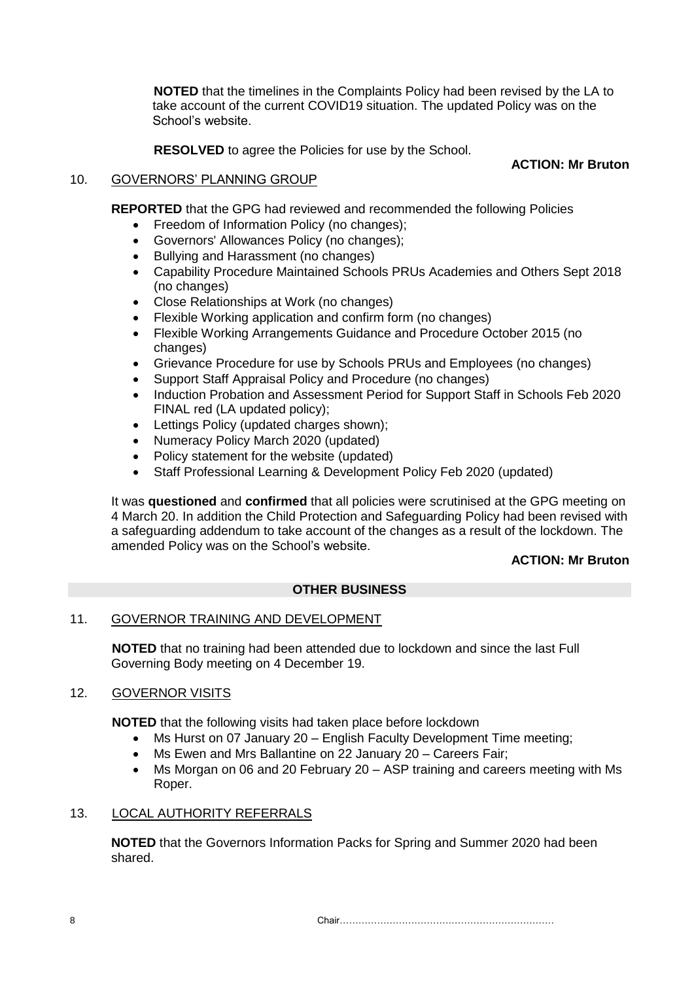**NOTED** that the timelines in the Complaints Policy had been revised by the LA to take account of the current COVID19 situation. The updated Policy was on the School's website.

**RESOLVED** to agree the Policies for use by the School.

# **ACTION: Mr Bruton**

# 10. GOVERNORS' PLANNING GROUP

**REPORTED** that the GPG had reviewed and recommended the following Policies

- Freedom of Information Policy (no changes);
- Governors' Allowances Policy (no changes);
- Bullying and Harassment (no changes)
- Capability Procedure Maintained Schools PRUs Academies and Others Sept 2018 (no changes)
- Close Relationships at Work (no changes)
- Flexible Working application and confirm form (no changes)
- Flexible Working Arrangements Guidance and Procedure October 2015 (no changes)
- Grievance Procedure for use by Schools PRUs and Employees (no changes)
- Support Staff Appraisal Policy and Procedure (no changes)
- Induction Probation and Assessment Period for Support Staff in Schools Feb 2020 FINAL red (LA updated policy);
- Lettings Policy (updated charges shown);
- Numeracy Policy March 2020 (updated)
- Policy statement for the website (updated)
- Staff Professional Learning & Development Policy Feb 2020 (updated)

It was **questioned** and **confirmed** that all policies were scrutinised at the GPG meeting on 4 March 20. In addition the Child Protection and Safeguarding Policy had been revised with a safeguarding addendum to take account of the changes as a result of the lockdown. The amended Policy was on the School's website.

# **ACTION: Mr Bruton**

# **OTHER BUSINESS**

# 11. GOVERNOR TRAINING AND DEVELOPMENT

**NOTED** that no training had been attended due to lockdown and since the last Full Governing Body meeting on 4 December 19.

# 12. GOVERNOR VISITS

**NOTED** that the following visits had taken place before lockdown

- Ms Hurst on 07 January 20 English Faculty Development Time meeting;
- Ms Ewen and Mrs Ballantine on 22 January 20 Careers Fair;
- Ms Morgan on 06 and 20 February 20 ASP training and careers meeting with Ms Roper.

# 13. LOCAL AUTHORITY REFERRALS

**NOTED** that the Governors Information Packs for Spring and Summer 2020 had been shared.